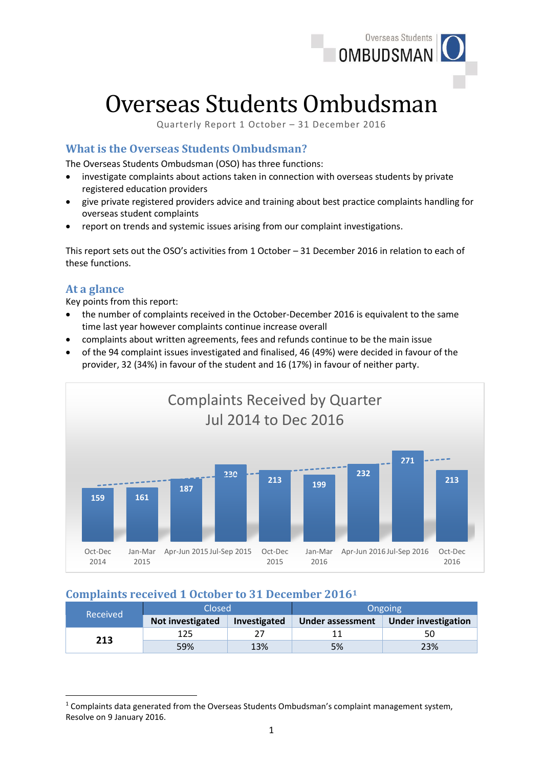

# Overseas Students Ombudsman

Quarterly Report 1 October – 31 December 2016

# **What is the Overseas Students Ombudsman?**

The Overseas Students Ombudsman (OSO) has three functions:

- investigate complaints about actions taken in connection with overseas students by private registered education providers
- give private registered providers advice and training about best practice complaints handling for overseas student complaints
- report on trends and systemic issues arising from our complaint investigations.

This report sets out the OSO's activities from 1 October – 31 December 2016 in relation to each of these functions.

### **At a glance**

**.** 

Key points from this report:

- the number of complaints received in the October-December 2016 is equivalent to the same time last year however complaints continue increase overall
- complaints about written agreements, fees and refunds continue to be the main issue
- of the 94 complaint issues investigated and finalised, 46 (49%) were decided in favour of the provider, 32 (34%) in favour of the student and 16 (17%) in favour of neither party.



# **Complaints received 1 October to 31 December 2016<sup>1</sup>**

| Received | Closed           |              | <b>Ongoing</b>   |                            |
|----------|------------------|--------------|------------------|----------------------------|
|          | Not investigated | Investigated | Under assessment | <b>Under investigation</b> |
| 213      | 125              |              |                  | 50                         |
|          | 59%              | 13%          | 5%               | 23%                        |

<sup>&</sup>lt;sup>1</sup> Complaints data generated from the Overseas Students Ombudsman's complaint management system, Resolve on 9 January 2016.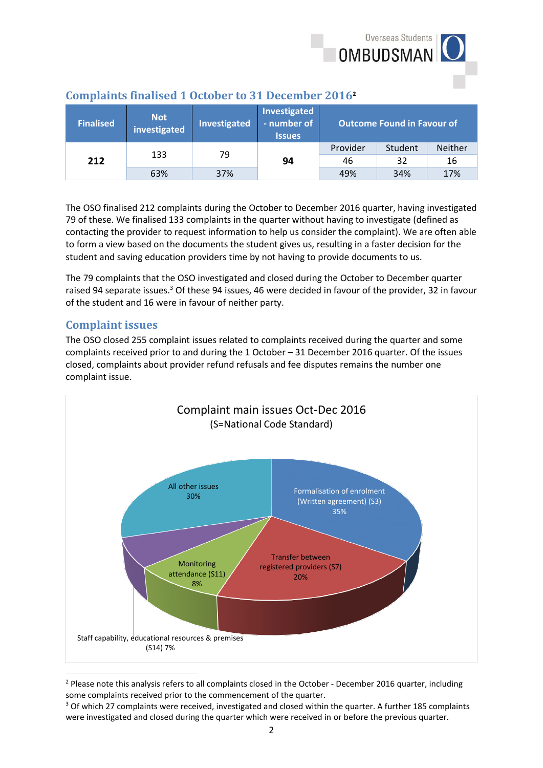

| <b>Finalised</b> | Not.<br>investigated | Investigated | Investigated<br>- number of<br><b>Issues</b> | <b>Outcome Found in Favour of</b> |         |                |
|------------------|----------------------|--------------|----------------------------------------------|-----------------------------------|---------|----------------|
|                  | 133                  | 79           |                                              | Provider                          | Student | <b>Neither</b> |
| 212              |                      |              | 94                                           | 46                                | 32      | 16             |
|                  | 63%                  | 37%          |                                              | 49%                               | 34%     | 17%            |

## **Complaints finalised 1 October to 31 December 2016<sup>2</sup>**

The OSO finalised 212 complaints during the October to December 2016 quarter, having investigated 79 of these. We finalised 133 complaints in the quarter without having to investigate (defined as contacting the provider to request information to help us consider the complaint). We are often able to form a view based on the documents the student gives us, resulting in a faster decision for the student and saving education providers time by not having to provide documents to us.

The 79 complaints that the OSO investigated and closed during the October to December quarter raised 94 separate issues.<sup>3</sup> Of these 94 issues, 46 were decided in favour of the provider, 32 in favour of the student and 16 were in favour of neither party.

# **Complaint issues**

The OSO closed 255 complaint issues related to complaints received during the quarter and some complaints received prior to and during the 1 October – 31 December 2016 quarter. Of the issues closed, complaints about provider refund refusals and fee disputes remains the number one complaint issue.



<sup>&</sup>lt;sup>2</sup> Please note this analysis refers to all complaints closed in the October - December 2016 quarter, including some complaints received prior to the commencement of the quarter.

<sup>&</sup>lt;sup>3</sup> Of which 27 complaints were received, investigated and closed within the quarter. A further 185 complaints were investigated and closed during the quarter which were received in or before the previous quarter.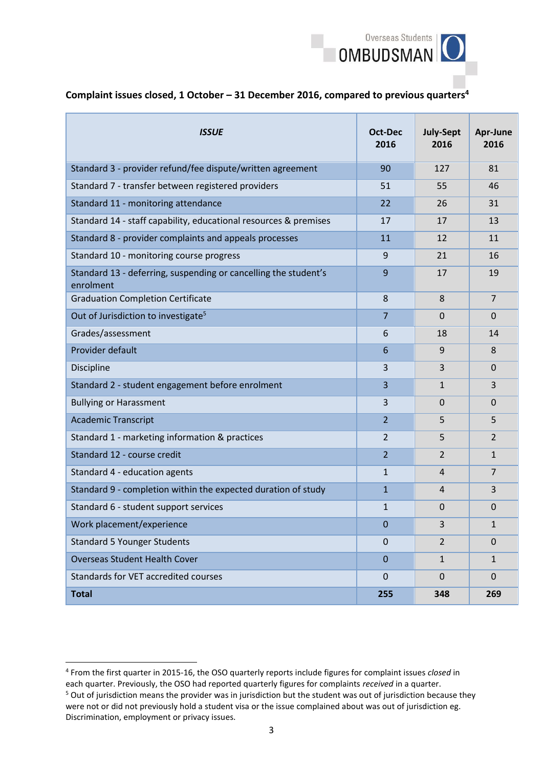

#### **Complaint issues closed, 1 October – 31 December 2016, compared to previous quarters<sup>4</sup>**

| <b>ISSUE</b>                                                                 | Oct-Dec<br>2016 | <b>July-Sept</b><br>2016 | Apr-June<br>2016 |
|------------------------------------------------------------------------------|-----------------|--------------------------|------------------|
| Standard 3 - provider refund/fee dispute/written agreement                   | 90              | 127                      | 81               |
| Standard 7 - transfer between registered providers                           | 51              | 55                       | 46               |
| Standard 11 - monitoring attendance                                          | 22              | 26                       | 31               |
| Standard 14 - staff capability, educational resources & premises             | 17              | 17                       | 13               |
| Standard 8 - provider complaints and appeals processes                       | 11              | 12                       | 11               |
| Standard 10 - monitoring course progress                                     | 9               | 21                       | 16               |
| Standard 13 - deferring, suspending or cancelling the student's<br>enrolment | 9               | 17                       | 19               |
| <b>Graduation Completion Certificate</b>                                     | 8               | 8                        | $\overline{7}$   |
| Out of Jurisdiction to investigate <sup>5</sup>                              | $\overline{7}$  | $\Omega$                 | $\mathbf{0}$     |
| Grades/assessment                                                            | 6               | 18                       | 14               |
| Provider default                                                             | 6               | 9                        | 8                |
| Discipline                                                                   | 3               | 3                        | $\mathbf 0$      |
| Standard 2 - student engagement before enrolment                             | 3               | 1                        | 3                |
| <b>Bullying or Harassment</b>                                                | 3               | $\mathbf{0}$             | 0                |
| <b>Academic Transcript</b>                                                   | $\overline{2}$  | 5                        | 5                |
| Standard 1 - marketing information & practices                               | 2               | 5                        | $\overline{2}$   |
| Standard 12 - course credit                                                  | $\overline{2}$  | $\overline{2}$           | $\mathbf{1}$     |
| Standard 4 - education agents                                                | $\mathbf{1}$    | 4                        | $\overline{7}$   |
| Standard 9 - completion within the expected duration of study                | $\mathbf{1}$    | 4                        | 3                |
| Standard 6 - student support services                                        | $\mathbf{1}$    | 0                        | 0                |
| Work placement/experience                                                    | $\mathbf 0$     | 3                        | $\mathbf{1}$     |
| <b>Standard 5 Younger Students</b>                                           | 0               | $\overline{2}$           | $\Omega$         |
| <b>Overseas Student Health Cover</b>                                         | $\mathbf 0$     | $\mathbf{1}$             | $\mathbf{1}$     |
| Standards for VET accredited courses                                         | $\Omega$        | $\mathbf 0$              | $\overline{0}$   |
| <b>Total</b>                                                                 | 255             | 348                      | 269              |

1

<sup>4</sup> From the first quarter in 2015-16, the OSO quarterly reports include figures for complaint issues *closed* in each quarter. Previously, the OSO had reported quarterly figures for complaints *received* in a quarter.

<sup>&</sup>lt;sup>5</sup> Out of jurisdiction means the provider was in jurisdiction but the student was out of jurisdiction because they were not or did not previously hold a student visa or the issue complained about was out of jurisdiction eg. Discrimination, employment or privacy issues.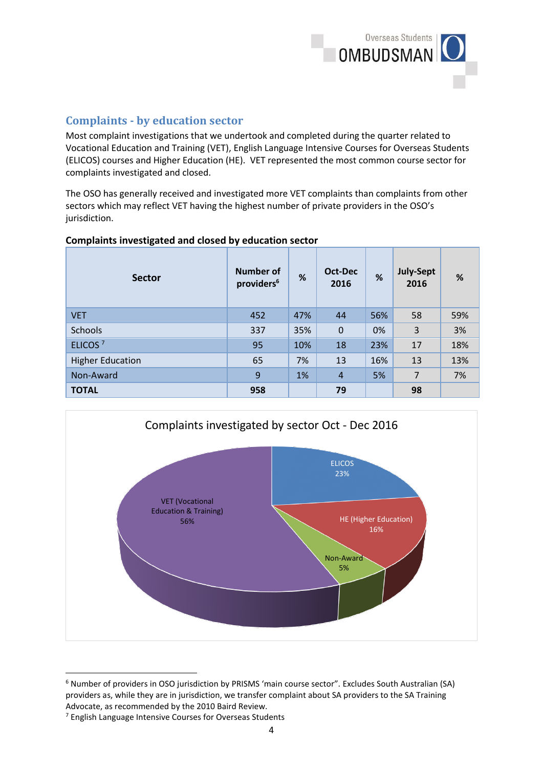

# **Complaints - by education sector**

Most complaint investigations that we undertook and completed during the quarter related to Vocational Education and Training (VET), English Language Intensive Courses for Overseas Students (ELICOS) courses and Higher Education (HE). VET represented the most common course sector for complaints investigated and closed.

The OSO has generally received and investigated more VET complaints than complaints from other sectors which may reflect VET having the highest number of private providers in the OSO's jurisdiction.

#### **Complaints investigated and closed by education sector**

| <b>Sector</b>           | <b>Number of</b><br>providers <sup>6</sup> | %   | Oct-Dec<br>2016 | %   | <b>July-Sept</b><br>2016 | $\%$ |
|-------------------------|--------------------------------------------|-----|-----------------|-----|--------------------------|------|
| <b>VET</b>              | 452                                        | 47% | 44              | 56% | 58                       | 59%  |
| <b>Schools</b>          | 337                                        | 35% | $\mathbf 0$     | 0%  | 3                        | 3%   |
| ELICOS <sup>7</sup>     | 95                                         | 10% | 18              | 23% | 17                       | 18%  |
| <b>Higher Education</b> | 65                                         | 7%  | 13              | 16% | 13                       | 13%  |
| Non-Award               | 9                                          | 1%  | $\overline{4}$  | 5%  | $\overline{7}$           | 7%   |
| <b>TOTAL</b>            | 958                                        |     | 79              |     | 98                       |      |



<sup>6</sup> Number of providers in OSO jurisdiction by PRISMS 'main course sector". Excludes South Australian (SA) providers as, while they are in jurisdiction, we transfer complaint about SA providers to the SA Training Advocate, as recommended by the 2010 Baird Review.

**.** 

<sup>7</sup> English Language Intensive Courses for Overseas Students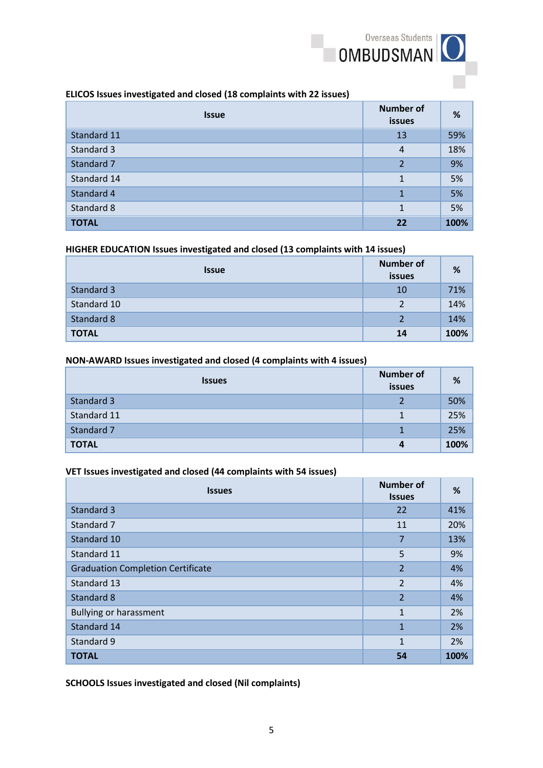

#### **ELICOS Issues investigated and closed (18 complaints with 22 issues)**

| <b>Issue</b> | <b>Number of</b><br><b>issues</b> | %    |
|--------------|-----------------------------------|------|
| Standard 11  | 13                                | 59%  |
| Standard 3   | $\overline{4}$                    | 18%  |
| Standard 7   | 2                                 | 9%   |
| Standard 14  |                                   | 5%   |
| Standard 4   | 1                                 | 5%   |
| Standard 8   | 1                                 | 5%   |
| <b>TOTAL</b> | 22                                | 100% |

#### **HIGHER EDUCATION Issues investigated and closed (13 complaints with 14 issues)**

| <b>Issue</b> | <b>Number of</b><br>issues | %    |
|--------------|----------------------------|------|
| Standard 3   | 10                         | 71%  |
| Standard 10  |                            | 14%  |
| Standard 8   |                            | 14%  |
| <b>TOTAL</b> | 14                         | 100% |

#### **NON-AWARD Issues investigated and closed (4 complaints with 4 issues)**

| <b>Issues</b> | <b>Number of</b><br>issues | %    |
|---------------|----------------------------|------|
| Standard 3    |                            | 50%  |
| Standard 11   |                            | 25%  |
| Standard 7    |                            | 25%  |
| <b>TOTAL</b>  | 4                          | 100% |

#### **VET Issues investigated and closed (44 complaints with 54 issues)**

| <b>Issues</b>                            | <b>Number of</b><br><b>Issues</b> | %    |
|------------------------------------------|-----------------------------------|------|
| Standard 3                               | 22                                | 41%  |
| Standard 7                               | 11                                | 20%  |
| Standard 10                              | 7                                 | 13%  |
| Standard 11                              | 5                                 | 9%   |
| <b>Graduation Completion Certificate</b> | $\overline{2}$                    | 4%   |
| Standard 13                              | $\overline{2}$                    | 4%   |
| Standard 8                               | $\overline{2}$                    | 4%   |
| <b>Bullying or harassment</b>            | 1                                 | 2%   |
| Standard 14                              | 1                                 | 2%   |
| Standard 9                               | 1                                 | 2%   |
| <b>TOTAL</b>                             | 54                                | 100% |

**SCHOOLS Issues investigated and closed (Nil complaints)**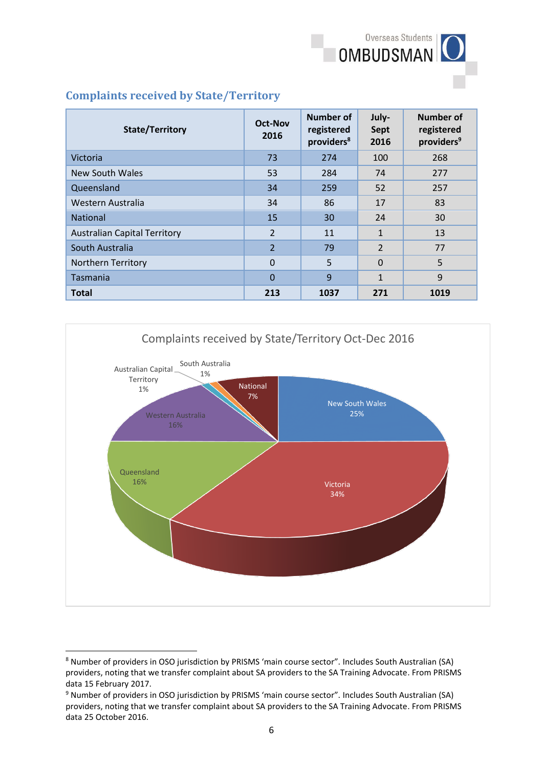

## **Complaints received by State/Territory**

| <b>State/Territory</b>              | <b>Oct-Nov</b><br>2016 | Number of<br>registered<br>providers <sup>8</sup> | July-<br><b>Sept</b><br>2016 | Number of<br>registered<br>providers <sup>9</sup> |
|-------------------------------------|------------------------|---------------------------------------------------|------------------------------|---------------------------------------------------|
| Victoria                            | 73                     | 274                                               | 100                          | 268                                               |
| <b>New South Wales</b>              | 53                     | 284                                               | 74                           | 277                                               |
| Queensland                          | 34                     | 259                                               | 52                           | 257                                               |
| Western Australia                   | 34                     | 86                                                | 17                           | 83                                                |
| <b>National</b>                     | 15                     | 30                                                | 24                           | 30                                                |
| <b>Australian Capital Territory</b> | $\overline{2}$         | 11                                                | $\mathbf{1}$                 | 13                                                |
| South Australia                     | $\overline{2}$         | 79                                                | $\overline{2}$               | 77                                                |
| <b>Northern Territory</b>           | $\Omega$               | 5                                                 | $\Omega$                     | 5                                                 |
| Tasmania                            | $\Omega$               | 9                                                 | $\mathbf{1}$                 | 9                                                 |
| <b>Total</b>                        | 213                    | 1037                                              | 271                          | 1019                                              |



<sup>8</sup> Number of providers in OSO jurisdiction by PRISMS 'main course sector". Includes South Australian (SA) providers, noting that we transfer complaint about SA providers to the SA Training Advocate. From PRISMS data 15 February 2017.

**.** 

<sup>9</sup> Number of providers in OSO jurisdiction by PRISMS 'main course sector". Includes South Australian (SA) providers, noting that we transfer complaint about SA providers to the SA Training Advocate. From PRISMS data 25 October 2016.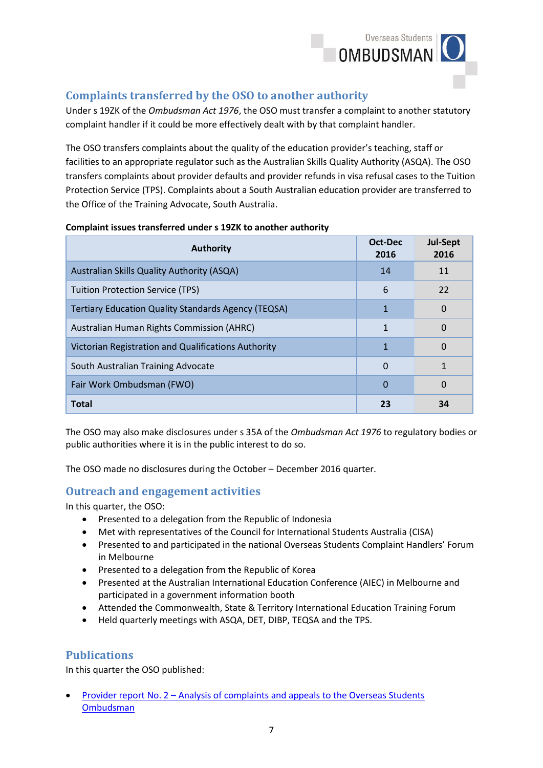

# **Complaints transferred by the OSO to another authority**

Under s 19ZK of the *Ombudsman Act 1976*, the OSO must transfer a complaint to another statutory complaint handler if it could be more effectively dealt with by that complaint handler.

The OSO transfers complaints about the quality of the education provider's teaching, staff or facilities to an appropriate regulator such as the Australian Skills Quality Authority (ASQA). The OSO transfers complaints about provider defaults and provider refunds in visa refusal cases to the Tuition Protection Service (TPS). Complaints about a South Australian education provider are transferred to the Office of the Training Advocate, South Australia.

| <b>Authority</b>                                           | Oct-Dec<br>2016 | <b>Jul-Sept</b><br>2016 |
|------------------------------------------------------------|-----------------|-------------------------|
| Australian Skills Quality Authority (ASQA)                 | 14              | 11                      |
| <b>Tuition Protection Service (TPS)</b>                    | 6               | 22                      |
| <b>Tertiary Education Quality Standards Agency (TEQSA)</b> | 1               | 0                       |
| Australian Human Rights Commission (AHRC)                  | $\mathbf{1}$    | 0                       |
| Victorian Registration and Qualifications Authority        | 1               | 0                       |
| South Australian Training Advocate                         | $\Omega$        | 1                       |
| Fair Work Ombudsman (FWO)                                  | $\Omega$        | 0                       |
| <b>Total</b>                                               | 23              | 34                      |

#### **Complaint issues transferred under s 19ZK to another authority**

The OSO may also make disclosures under s 35A of the *Ombudsman Act 1976* to regulatory bodies or public authorities where it is in the public interest to do so.

The OSO made no disclosures during the October – December 2016 quarter.

## **Outreach and engagement activities**

In this quarter, the OSO:

- Presented to a delegation from the Republic of Indonesia
- Met with representatives of the Council for International Students Australia (CISA)
- Presented to and participated in the national Overseas Students Complaint Handlers' Forum in Melbourne
- Presented to a delegation from the Republic of Korea
- Presented at the Australian International Education Conference (AIEC) in Melbourne and participated in a government information booth
- Attended the Commonwealth, State & Territory International Education Training Forum
- Held quarterly meetings with ASQA, DET, DIBP, TEQSA and the TPS.

## **Publications**

In this quarter the OSO published:

 Provider report No. 2 – [Analysis of complaints and appeals to the Overseas Students](http://www.ombudsman.gov.au/__data/assets/pdf_file/0017/42551/Provider-Report-No.-2.pdf)  [Ombudsman](http://www.ombudsman.gov.au/__data/assets/pdf_file/0017/42551/Provider-Report-No.-2.pdf)